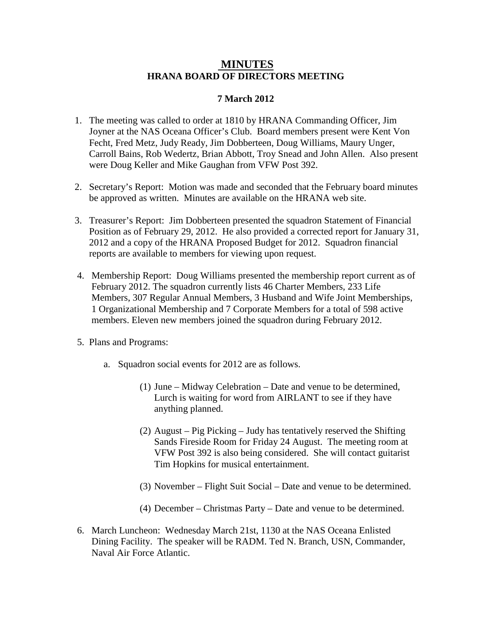## **MINUTES HRANA BOARD OF DIRECTORS MEETING**

## **7 March 2012**

- 1. The meeting was called to order at 1810 by HRANA Commanding Officer, Jim Joyner at the NAS Oceana Officer's Club. Board members present were Kent Von Fecht, Fred Metz, Judy Ready, Jim Dobberteen, Doug Williams, Maury Unger, Carroll Bains, Rob Wedertz, Brian Abbott, Troy Snead and John Allen. Also present were Doug Keller and Mike Gaughan from VFW Post 392.
- 2. Secretary's Report: Motion was made and seconded that the February board minutes be approved as written. Minutes are available on the HRANA web site.
- 3. Treasurer's Report: Jim Dobberteen presented the squadron Statement of Financial Position as of February 29, 2012. He also provided a corrected report for January 31, 2012 and a copy of the HRANA Proposed Budget for 2012. Squadron financial reports are available to members for viewing upon request.
- 4. Membership Report: Doug Williams presented the membership report current as of February 2012. The squadron currently lists 46 Charter Members, 233 Life Members, 307 Regular Annual Members, 3 Husband and Wife Joint Memberships, 1 Organizational Membership and 7 Corporate Members for a total of 598 active members. Eleven new members joined the squadron during February 2012.
- 5. Plans and Programs:
	- a. Squadron social events for 2012 are as follows.
		- (1) June Midway Celebration Date and venue to be determined, Lurch is waiting for word from AIRLANT to see if they have anything planned.
		- (2) August Pig Picking Judy has tentatively reserved the Shifting Sands Fireside Room for Friday 24 August. The meeting room at VFW Post 392 is also being considered. She will contact guitarist Tim Hopkins for musical entertainment.
		- (3) November Flight Suit Social Date and venue to be determined.
		- (4) December Christmas Party Date and venue to be determined.
- 6. March Luncheon: Wednesday March 21st, 1130 at the NAS Oceana Enlisted Dining Facility. The speaker will be RADM. Ted N. Branch, USN, Commander, Naval Air Force Atlantic.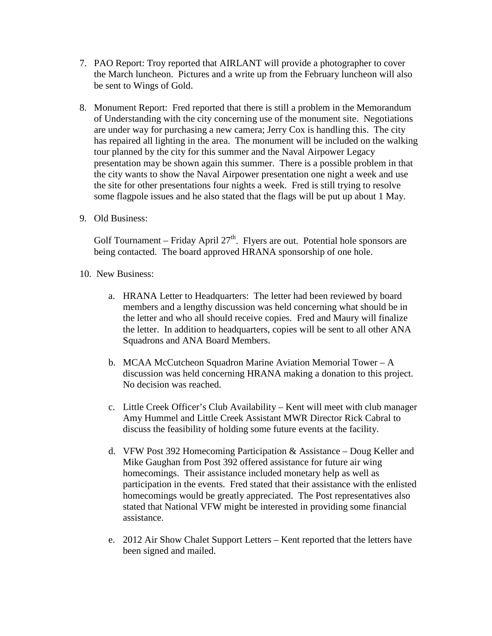- 7. PAO Report: Troy reported that AIRLANT will provide a photographer to cover the March luncheon. Pictures and a write up from the February luncheon will also be sent to Wings of Gold.
- 8. Monument Report: Fred reported that there is still a problem in the Memorandum of Understanding with the city concerning use of the monument site. Negotiations are under way for purchasing a new camera; Jerry Cox is handling this. The city has repaired all lighting in the area. The monument will be included on the walking tour planned by the city for this summer and the Naval Airpower Legacy presentation may be shown again this summer. There is a possible problem in that the city wants to show the Naval Airpower presentation one night a week and use the site for other presentations four nights a week. Fred is still trying to resolve some flagpole issues and he also stated that the flags will be put up about 1 May.
- 9. Old Business:

Golf Tournament – Friday April  $27<sup>th</sup>$ . Flyers are out. Potential hole sponsors are being contacted. The board approved HRANA sponsorship of one hole.

- 10. New Business:
	- a. HRANA Letter to Headquarters: The letter had been reviewed by board members and a lengthy discussion was held concerning what should be in the letter and who all should receive copies. Fred and Maury will finalize the letter. In addition to headquarters, copies will be sent to all other ANA Squadrons and ANA Board Members.
	- b. MCAA McCutcheon Squadron Marine Aviation Memorial Tower A discussion was held concerning HRANA making a donation to this project. No decision was reached.
	- c. Little Creek Officer's Club Availability Kent will meet with club manager Amy Hummel and Little Creek Assistant MWR Director Rick Cabral to discuss the feasibility of holding some future events at the facility.
	- d. VFW Post 392 Homecoming Participation & Assistance Doug Keller and Mike Gaughan from Post 392 offered assistance for future air wing homecomings. Their assistance included monetary help as well as participation in the events. Fred stated that their assistance with the enlisted homecomings would be greatly appreciated. The Post representatives also stated that National VFW might be interested in providing some financial assistance.
	- e. 2012 Air Show Chalet Support Letters Kent reported that the letters have been signed and mailed.